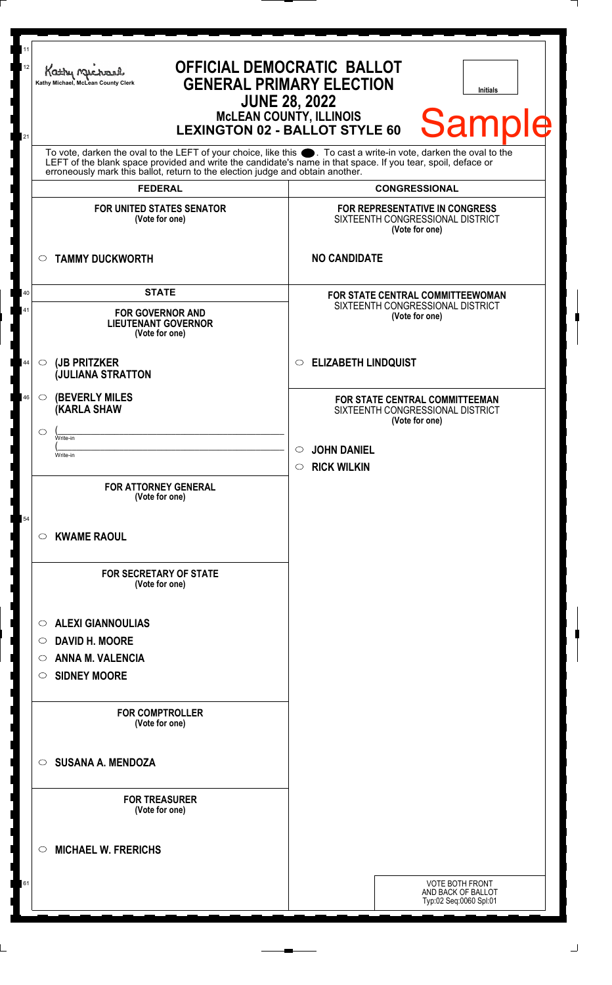| Kathy Me<br>Kathy Michael, McLean County Clerk                                          | <b>OFFICIAL DEMOCRATIC BALLOT</b><br><b>GENERAL PRIMARY ELECTION</b><br><b>Initials</b><br><b>JUNE 28, 2022</b><br><b>Sample</b><br><b>McLEAN COUNTY, ILLINOIS</b><br><b>LEXINGTON 02 - BALLOT STYLE 60</b>                          |  |  |  |
|-----------------------------------------------------------------------------------------|--------------------------------------------------------------------------------------------------------------------------------------------------------------------------------------------------------------------------------------|--|--|--|
| erroneously mark this ballot, return to the election judge and obtain another.          | To vote, darken the oval to the LEFT of your choice, like this $\bullet$ . To cast a write-in vote, darken the oval to the LEFT of the blank space provided and write the candidate's name in that space. If you tear, spoil, deface |  |  |  |
| <b>FEDERAL</b>                                                                          | <b>CONGRESSIONAL</b>                                                                                                                                                                                                                 |  |  |  |
| <b>FOR UNITED STATES SENATOR</b><br>(Vote for one)                                      | FOR REPRESENTATIVE IN CONGRESS<br>SIXTEENTH CONGRESSIONAL DISTRICT<br>(Vote for one)                                                                                                                                                 |  |  |  |
| <b>TAMMY DUCKWORTH</b><br>$\circ$                                                       | <b>NO CANDIDATE</b>                                                                                                                                                                                                                  |  |  |  |
| <b>STATE</b><br><b>FOR GOVERNOR AND</b><br><b>LIEUTENANT GOVERNOR</b><br>(Vote for one) | FOR STATE CENTRAL COMMITTEEWOMAN<br>SIXTEENTH CONGRESSIONAL DISTRICT<br>(Vote for one)                                                                                                                                               |  |  |  |
| (JB PRITZKER<br>$\circ$<br><b>JULIANA STRATTON</b>                                      | <b>ELIZABETH LINDQUIST</b><br>$\circ$                                                                                                                                                                                                |  |  |  |
| <b>(BEVERLY MILES)</b><br>$\circ$<br><b>(KARLA SHAW</b>                                 | FOR STATE CENTRAL COMMITTEEMAN<br>SIXTEENTH CONGRESSIONAL DISTRICT<br>(Vote for one)                                                                                                                                                 |  |  |  |
| $\circ$<br>Write-in                                                                     |                                                                                                                                                                                                                                      |  |  |  |
| Write-in                                                                                | <b>JOHN DANIEL</b><br>$\circlearrowright$<br><b>RICK WILKIN</b><br>$\circ$                                                                                                                                                           |  |  |  |
| <b>FOR ATTORNEY GENERAL</b><br>(Vote for one)                                           |                                                                                                                                                                                                                                      |  |  |  |
| <b>KWAME RAOUL</b><br>$\circ$                                                           |                                                                                                                                                                                                                                      |  |  |  |
| <b>FOR SECRETARY OF STATE</b><br>(Vote for one)                                         |                                                                                                                                                                                                                                      |  |  |  |
| <b>ALEXI GIANNOULIAS</b><br>$\circ$                                                     |                                                                                                                                                                                                                                      |  |  |  |
| <b>DAVID H. MOORE</b><br>$\circ$                                                        |                                                                                                                                                                                                                                      |  |  |  |
| <b>ANNA M. VALENCIA</b><br>O<br><b>SIDNEY MOORE</b><br>$\circ$                          |                                                                                                                                                                                                                                      |  |  |  |
| <b>FOR COMPTROLLER</b><br>(Vote for one)                                                |                                                                                                                                                                                                                                      |  |  |  |
| <b>SUSANA A. MENDOZA</b><br>$\circ$                                                     |                                                                                                                                                                                                                                      |  |  |  |
| <b>FOR TREASURER</b><br>(Vote for one)                                                  |                                                                                                                                                                                                                                      |  |  |  |
| <b>MICHAEL W. FRERICHS</b><br>$\circ$                                                   |                                                                                                                                                                                                                                      |  |  |  |
|                                                                                         | <b>VOTE BOTH FRONT</b><br>AND BACK OF BALLOT                                                                                                                                                                                         |  |  |  |
|                                                                                         | Typ:02 Seq:0060 Spl:01                                                                                                                                                                                                               |  |  |  |

 $\perp$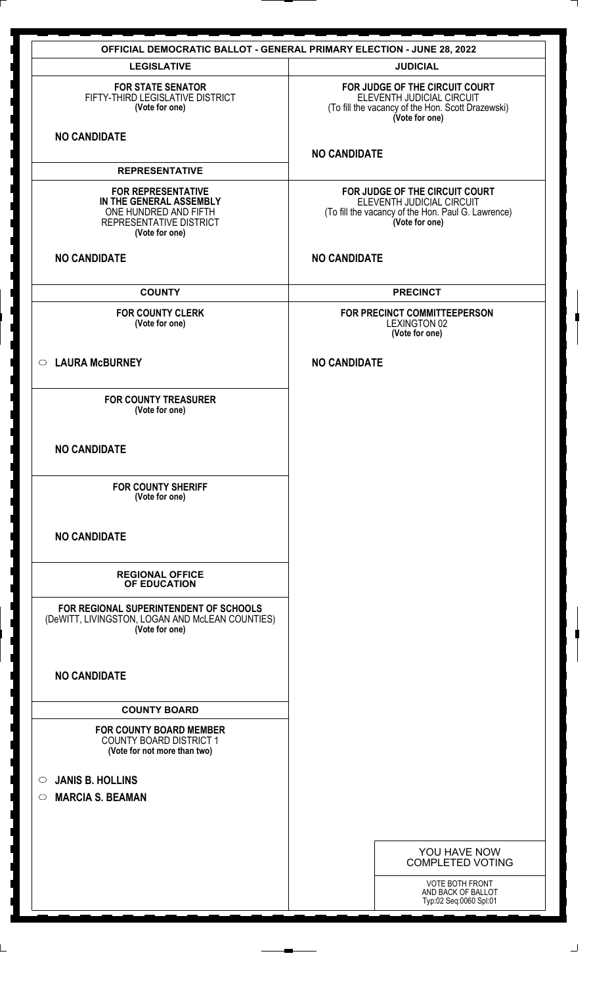| <b>OFFICIAL DEMOCRATIC BALLOT - GENERAL PRIMARY ELECTION - JUNE 28, 2022</b>                                               |                                                                                                                                     |  |  |  |  |  |
|----------------------------------------------------------------------------------------------------------------------------|-------------------------------------------------------------------------------------------------------------------------------------|--|--|--|--|--|
| <b>LEGISLATIVE</b>                                                                                                         | <b>JUDICIAL</b>                                                                                                                     |  |  |  |  |  |
| <b>FOR STATE SENATOR</b><br>FIFTY-THIRD LEGISLATIVE DISTRICT<br>(Vote for one)                                             | FOR JUDGE OF THE CIRCUIT COURT<br>ELEVENTH JUDICIAL CIRCUIT<br>(To fill the vacancy of the Hon. Scott Drazewski)<br>(Vote for one)  |  |  |  |  |  |
| <b>NO CANDIDATE</b>                                                                                                        | <b>NO CANDIDATE</b>                                                                                                                 |  |  |  |  |  |
| <b>REPRESENTATIVE</b>                                                                                                      |                                                                                                                                     |  |  |  |  |  |
| <b>FOR REPRESENTATIVE</b><br>IN THE GENERAL ASSEMBLY<br>ONE HUNDRED AND FIFTH<br>REPRESENTATIVE DISTRICT<br>(Vote for one) | FOR JUDGE OF THE CIRCUIT COURT<br>ELEVENTH JUDICIAL CIRCUIT<br>(To fill the vacancy of the Hon. Paul G. Lawrence)<br>(Vote for one) |  |  |  |  |  |
| <b>NO CANDIDATE</b>                                                                                                        | <b>NO CANDIDATE</b>                                                                                                                 |  |  |  |  |  |
| <b>COUNTY</b>                                                                                                              | <b>PRECINCT</b>                                                                                                                     |  |  |  |  |  |
| <b>FOR COUNTY CLERK</b><br>(Vote for one)                                                                                  | FOR PRECINCT COMMITTEEPERSON<br><b>LEXINGTON 02</b><br>(Vote for one)                                                               |  |  |  |  |  |
| <b>LAURA McBURNEY</b><br>$\circ$                                                                                           | <b>NO CANDIDATE</b>                                                                                                                 |  |  |  |  |  |
| <b>FOR COUNTY TREASURER</b><br>(Vote for one)                                                                              |                                                                                                                                     |  |  |  |  |  |
| <b>NO CANDIDATE</b>                                                                                                        |                                                                                                                                     |  |  |  |  |  |
| <b>FOR COUNTY SHERIFF</b><br>(Vote for one)                                                                                |                                                                                                                                     |  |  |  |  |  |
| <b>NO CANDIDATE</b>                                                                                                        |                                                                                                                                     |  |  |  |  |  |
| <b>REGIONAL OFFICE</b><br>OF EDUCATION                                                                                     |                                                                                                                                     |  |  |  |  |  |
| FOR REGIONAL SUPERINTENDENT OF SCHOOLS<br>(DeWITT, LIVINGSTON, LOGAN AND McLEAN COUNTIES)<br>(Vote for one)                |                                                                                                                                     |  |  |  |  |  |
| <b>NO CANDIDATE</b>                                                                                                        |                                                                                                                                     |  |  |  |  |  |
| <b>COUNTY BOARD</b>                                                                                                        |                                                                                                                                     |  |  |  |  |  |
| <b>FOR COUNTY BOARD MEMBER</b><br><b>COUNTY BOARD DISTRICT 1</b><br>(Vote for not more than two)                           |                                                                                                                                     |  |  |  |  |  |
| <b>JANIS B. HOLLINS</b><br>$\circ$                                                                                         |                                                                                                                                     |  |  |  |  |  |
| <b>MARCIA S. BEAMAN</b><br>$\circ$                                                                                         |                                                                                                                                     |  |  |  |  |  |
|                                                                                                                            |                                                                                                                                     |  |  |  |  |  |
|                                                                                                                            |                                                                                                                                     |  |  |  |  |  |
|                                                                                                                            | YOU HAVE NOW<br><b>COMPLETED VOTING</b>                                                                                             |  |  |  |  |  |
|                                                                                                                            | VOTE BOTH FRONT<br>AND BACK OF BALLOT<br>Typ:02 Seq:0060 Spl:01                                                                     |  |  |  |  |  |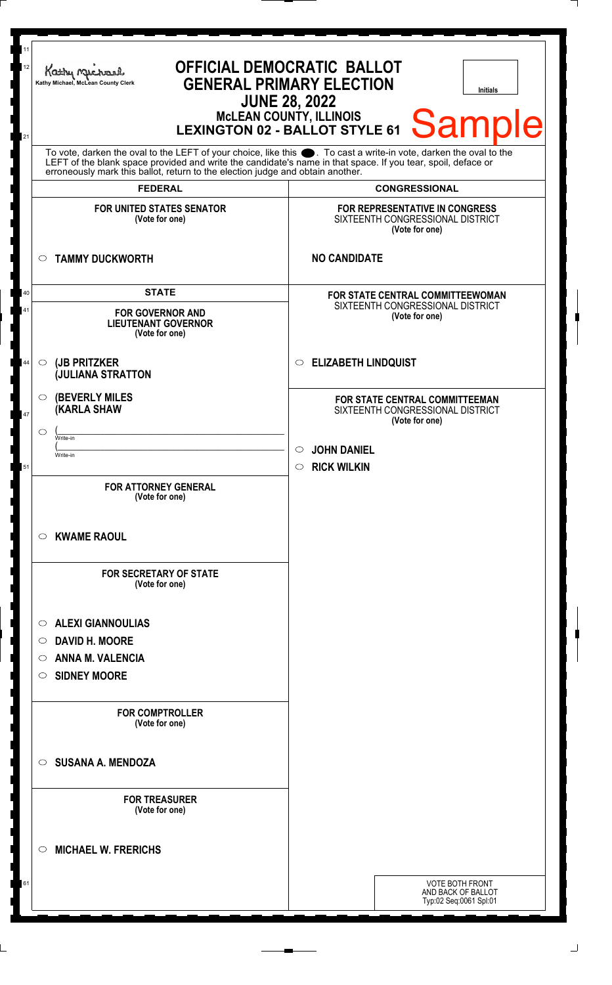| 11<br>12 |                                                                                                                                                                                                                                      | <b>OFFICIAL DEMOCRATIC BALLOT</b><br>Kathy Michael<br><b>GENERAL PRIMARY ELECTION</b><br>Kathy Michael, McLean County Clerk<br><b>Initials</b><br><b>JUNE 28, 2022</b><br>MCLEAN COUNTY, ILLINOIS LEXINGTON 02 - BALLOT STYLE 61 Sample |  |                                                                |                                                                                      |                                                                        |  |
|----------|--------------------------------------------------------------------------------------------------------------------------------------------------------------------------------------------------------------------------------------|-----------------------------------------------------------------------------------------------------------------------------------------------------------------------------------------------------------------------------------------|--|----------------------------------------------------------------|--------------------------------------------------------------------------------------|------------------------------------------------------------------------|--|
| 21       | To vote, darken the oval to the LEFT of your choice, like this $\bullet$ . To cast a write-in vote, darken the oval to the LEFT of the blank space provided and write the candidate's name in that space. If you tear, spoil, deface |                                                                                                                                                                                                                                         |  |                                                                |                                                                                      |                                                                        |  |
|          |                                                                                                                                                                                                                                      | erroneously mark this ballot, return to the election judge and obtain another.                                                                                                                                                          |  |                                                                |                                                                                      |                                                                        |  |
|          |                                                                                                                                                                                                                                      | <b>FEDERAL</b><br><b>FOR UNITED STATES SENATOR</b>                                                                                                                                                                                      |  |                                                                | <b>CONGRESSIONAL</b><br><b>FOR REPRESENTATIVE IN CONGRESS</b>                        |                                                                        |  |
|          |                                                                                                                                                                                                                                      | (Vote for one)                                                                                                                                                                                                                          |  |                                                                | SIXTEENTH CONGRESSIONAL DISTRICT<br>(Vote for one)                                   |                                                                        |  |
|          | $\circ$                                                                                                                                                                                                                              | <b>TAMMY DUCKWORTH</b>                                                                                                                                                                                                                  |  | <b>NO CANDIDATE</b>                                            |                                                                                      |                                                                        |  |
| 40       |                                                                                                                                                                                                                                      | <b>STATE</b>                                                                                                                                                                                                                            |  |                                                                | <b>FOR STATE CENTRAL COMMITTEEWOMAN</b>                                              |                                                                        |  |
| 41       |                                                                                                                                                                                                                                      | <b>FOR GOVERNOR AND</b><br><b>LIEUTENANT GOVERNOR</b><br>(Vote for one)                                                                                                                                                                 |  |                                                                | SIXTEENTH CONGRESSIONAL DISTRICT<br>(Vote for one)                                   |                                                                        |  |
| 44       | $\circ$                                                                                                                                                                                                                              | (JB PRITZKER<br><b>JULIANA STRATTON</b>                                                                                                                                                                                                 |  | <b>ELIZABETH LINDQUIST</b><br>O                                |                                                                                      |                                                                        |  |
| 47       | $\circ$                                                                                                                                                                                                                              | <b>(BEVERLY MILES)</b><br><b>(KARLA SHAW</b>                                                                                                                                                                                            |  |                                                                | FOR STATE CENTRAL COMMITTEEMAN<br>SIXTEENTH CONGRESSIONAL DISTRICT<br>(Vote for one) |                                                                        |  |
|          | ◯                                                                                                                                                                                                                                    | Write-in                                                                                                                                                                                                                                |  |                                                                |                                                                                      |                                                                        |  |
| 51       |                                                                                                                                                                                                                                      | Write-in                                                                                                                                                                                                                                |  | <b>JOHN DANIEL</b><br>$\circ$<br><b>RICK WILKIN</b><br>$\circ$ |                                                                                      |                                                                        |  |
|          |                                                                                                                                                                                                                                      | <b>FOR ATTORNEY GENERAL</b><br>(Vote for one)                                                                                                                                                                                           |  |                                                                |                                                                                      |                                                                        |  |
|          | $\circ$                                                                                                                                                                                                                              | <b>KWAME RAOUL</b>                                                                                                                                                                                                                      |  |                                                                |                                                                                      |                                                                        |  |
|          |                                                                                                                                                                                                                                      | <b>FOR SECRETARY OF STATE</b><br>(Vote for one)                                                                                                                                                                                         |  |                                                                |                                                                                      |                                                                        |  |
|          | $\circ$                                                                                                                                                                                                                              | <b>ALEXI GIANNOULIAS</b>                                                                                                                                                                                                                |  |                                                                |                                                                                      |                                                                        |  |
|          | $\circ$                                                                                                                                                                                                                              | <b>DAVID H. MOORE</b>                                                                                                                                                                                                                   |  |                                                                |                                                                                      |                                                                        |  |
|          | $\circ$                                                                                                                                                                                                                              | <b>ANNA M. VALENCIA</b>                                                                                                                                                                                                                 |  |                                                                |                                                                                      |                                                                        |  |
|          | $\circ$                                                                                                                                                                                                                              | <b>SIDNEY MOORE</b>                                                                                                                                                                                                                     |  |                                                                |                                                                                      |                                                                        |  |
|          |                                                                                                                                                                                                                                      | <b>FOR COMPTROLLER</b><br>(Vote for one)                                                                                                                                                                                                |  |                                                                |                                                                                      |                                                                        |  |
|          | ◯                                                                                                                                                                                                                                    | <b>SUSANA A. MENDOZA</b>                                                                                                                                                                                                                |  |                                                                |                                                                                      |                                                                        |  |
|          |                                                                                                                                                                                                                                      | <b>FOR TREASURER</b><br>(Vote for one)                                                                                                                                                                                                  |  |                                                                |                                                                                      |                                                                        |  |
|          | $\circ$                                                                                                                                                                                                                              | <b>MICHAEL W. FRERICHS</b>                                                                                                                                                                                                              |  |                                                                |                                                                                      |                                                                        |  |
|          |                                                                                                                                                                                                                                      |                                                                                                                                                                                                                                         |  |                                                                |                                                                                      | <b>VOTE BOTH FRONT</b><br>AND BACK OF BALLOT<br>Typ:02 Seq:0061 Spl:01 |  |
|          |                                                                                                                                                                                                                                      |                                                                                                                                                                                                                                         |  |                                                                |                                                                                      |                                                                        |  |